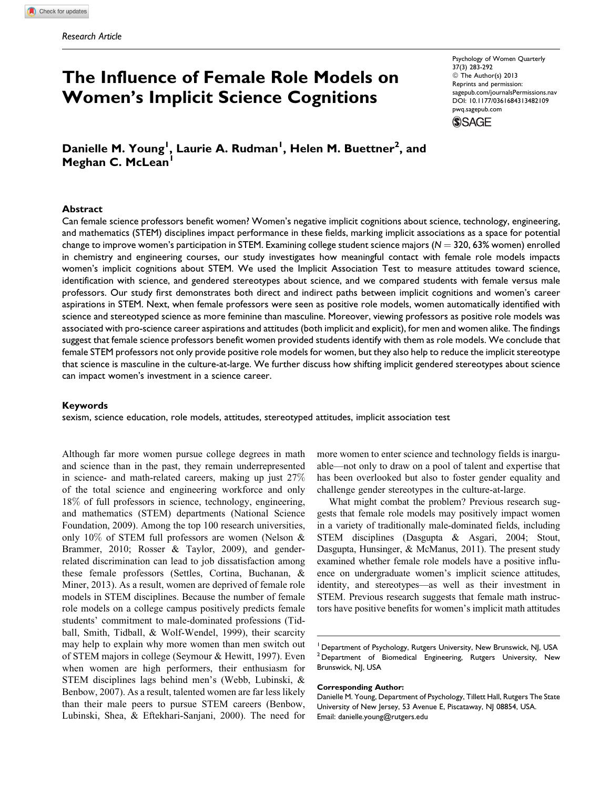# The Influence of Female Role Models on Women's Implicit Science Cognitions

Psychology of Women Quarterly 37(3) 283-292 © The Author(s) 2013 Reprints and permission: [sagepub.com/journalsPermissions.nav](http://www.sagepub.com/journalsPermissions.nav) DOI: 10.1177/0361684313482109 [pwq.sagepub.com](http://pwq.sagepub.com)



Danielle M. Young<sup>l</sup>, Laurie A. Rudman<sup>l</sup>, Helen M. Buettner<sup>2</sup>, and Meghan C. McLean<sup>1</sup>

#### Abstract

Can female science professors benefit women? Women's negative implicit cognitions about science, technology, engineering, and mathematics (STEM) disciplines impact performance in these fields, marking implicit associations as a space for potential change to improve women's participation in STEM. Examining college student science majors ( $N = 320, 63\%$  women) enrolled in chemistry and engineering courses, our study investigates how meaningful contact with female role models impacts women's implicit cognitions about STEM. We used the Implicit Association Test to measure attitudes toward science, identification with science, and gendered stereotypes about science, and we compared students with female versus male professors. Our study first demonstrates both direct and indirect paths between implicit cognitions and women's career aspirations in STEM. Next, when female professors were seen as positive role models, women automatically identified with science and stereotyped science as more feminine than masculine. Moreover, viewing professors as positive role models was associated with pro-science career aspirations and attitudes (both implicit and explicit), for men and women alike. The findings suggest that female science professors benefit women provided students identify with them as role models. We conclude that female STEM professors not only provide positive role models for women, but they also help to reduce the implicit stereotype that science is masculine in the culture-at-large. We further discuss how shifting implicit gendered stereotypes about science can impact women's investment in a science career.

#### Keywords

sexism, science education, role models, attitudes, stereotyped attitudes, implicit association test

Although far more women pursue college degrees in math and science than in the past, they remain underrepresented in science- and math-related careers, making up just 27% of the total science and engineering workforce and only 18% of full professors in science, technology, engineering, and mathematics (STEM) departments (National Science Foundation, 2009). Among the top 100 research universities, only 10% of STEM full professors are women (Nelson  $\&$ Brammer, 2010; Rosser & Taylor, 2009), and genderrelated discrimination can lead to job dissatisfaction among these female professors (Settles, Cortina, Buchanan, & Miner, 2013). As a result, women are deprived of female role models in STEM disciplines. Because the number of female role models on a college campus positively predicts female students' commitment to male-dominated professions (Tidball, Smith, Tidball, & Wolf-Wendel, 1999), their scarcity may help to explain why more women than men switch out of STEM majors in college (Seymour & Hewitt, 1997). Even when women are high performers, their enthusiasm for STEM disciplines lags behind men's (Webb, Lubinski, & Benbow, 2007). As a result, talented women are far less likely than their male peers to pursue STEM careers (Benbow, Lubinski, Shea, & Eftekhari-Sanjani, 2000). The need for

more women to enter science and technology fields is inarguable—not only to draw on a pool of talent and expertise that has been overlooked but also to foster gender equality and challenge gender stereotypes in the culture-at-large.

What might combat the problem? Previous research suggests that female role models may positively impact women in a variety of traditionally male-dominated fields, including STEM disciplines (Dasgupta & Asgari, 2004; Stout, Dasgupta, Hunsinger, & McManus, 2011). The present study examined whether female role models have a positive influence on undergraduate women's implicit science attitudes, identity, and stereotypes—as well as their investment in STEM. Previous research suggests that female math instructors have positive benefits for women's implicit math attitudes

#### Corresponding Author:

<sup>&</sup>lt;sup>1</sup> Department of Psychology, Rutgers University, New Brunswick, NJ, USA <sup>2</sup> Department of Biomedical Engineering, Rutgers University, New Brunswick, NJ, USA

Danielle M. Young, Department of Psychology, Tillett Hall, Rutgers The State University of New Jersey, 53 Avenue E, Piscataway, NJ 08854, USA. Email: danielle.young@rutgers.edu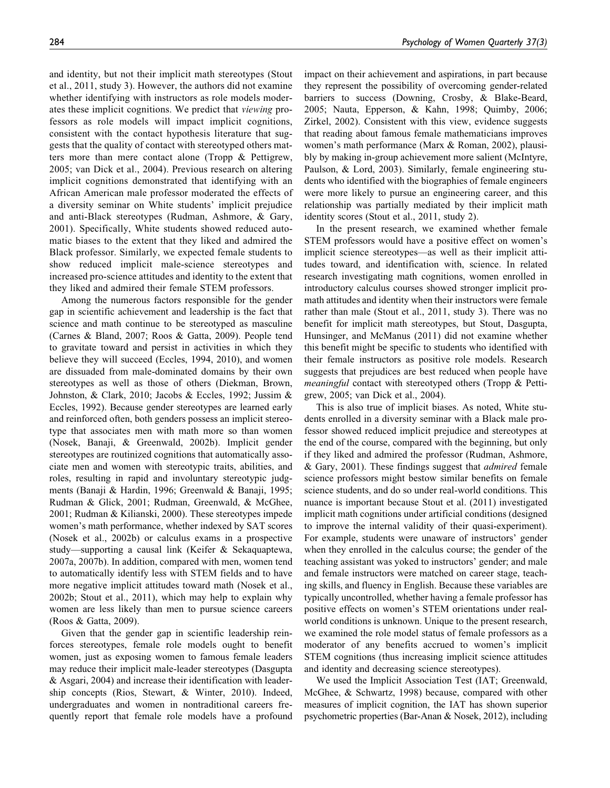and identity, but not their implicit math stereotypes (Stout et al., 2011, study 3). However, the authors did not examine whether identifying with instructors as role models moderates these implicit cognitions. We predict that viewing professors as role models will impact implicit cognitions, consistent with the contact hypothesis literature that suggests that the quality of contact with stereotyped others matters more than mere contact alone (Tropp & Pettigrew, 2005; van Dick et al., 2004). Previous research on altering implicit cognitions demonstrated that identifying with an African American male professor moderated the effects of a diversity seminar on White students' implicit prejudice and anti-Black stereotypes (Rudman, Ashmore, & Gary, 2001). Specifically, White students showed reduced automatic biases to the extent that they liked and admired the Black professor. Similarly, we expected female students to show reduced implicit male-science stereotypes and increased pro-science attitudes and identity to the extent that they liked and admired their female STEM professors.

Among the numerous factors responsible for the gender gap in scientific achievement and leadership is the fact that science and math continue to be stereotyped as masculine (Carnes & Bland, 2007; Roos & Gatta, 2009). People tend to gravitate toward and persist in activities in which they believe they will succeed (Eccles, 1994, 2010), and women are dissuaded from male-dominated domains by their own stereotypes as well as those of others (Diekman, Brown, Johnston, & Clark, 2010; Jacobs & Eccles, 1992; Jussim & Eccles, 1992). Because gender stereotypes are learned early and reinforced often, both genders possess an implicit stereotype that associates men with math more so than women (Nosek, Banaji, & Greenwald, 2002b). Implicit gender stereotypes are routinized cognitions that automatically associate men and women with stereotypic traits, abilities, and roles, resulting in rapid and involuntary stereotypic judgments (Banaji & Hardin, 1996; Greenwald & Banaji, 1995; Rudman & Glick, 2001; Rudman, Greenwald, & McGhee, 2001; Rudman & Kilianski, 2000). These stereotypes impede women's math performance, whether indexed by SAT scores (Nosek et al., 2002b) or calculus exams in a prospective study—supporting a causal link (Keifer & Sekaquaptewa, 2007a, 2007b). In addition, compared with men, women tend to automatically identify less with STEM fields and to have more negative implicit attitudes toward math (Nosek et al., 2002b; Stout et al., 2011), which may help to explain why women are less likely than men to pursue science careers (Roos & Gatta, 2009).

Given that the gender gap in scientific leadership reinforces stereotypes, female role models ought to benefit women, just as exposing women to famous female leaders may reduce their implicit male-leader stereotypes (Dasgupta & Asgari, 2004) and increase their identification with leadership concepts (Rios, Stewart, & Winter, 2010). Indeed, undergraduates and women in nontraditional careers frequently report that female role models have a profound

impact on their achievement and aspirations, in part because they represent the possibility of overcoming gender-related barriers to success (Downing, Crosby, & Blake-Beard, 2005; Nauta, Epperson, & Kahn, 1998; Quimby, 2006; Zirkel, 2002). Consistent with this view, evidence suggests that reading about famous female mathematicians improves women's math performance (Marx & Roman, 2002), plausibly by making in-group achievement more salient (McIntyre, Paulson, & Lord, 2003). Similarly, female engineering students who identified with the biographies of female engineers were more likely to pursue an engineering career, and this relationship was partially mediated by their implicit math identity scores (Stout et al., 2011, study 2).

In the present research, we examined whether female STEM professors would have a positive effect on women's implicit science stereotypes—as well as their implicit attitudes toward, and identification with, science. In related research investigating math cognitions, women enrolled in introductory calculus courses showed stronger implicit promath attitudes and identity when their instructors were female rather than male (Stout et al., 2011, study 3). There was no benefit for implicit math stereotypes, but Stout, Dasgupta, Hunsinger, and McManus (2011) did not examine whether this benefit might be specific to students who identified with their female instructors as positive role models. Research suggests that prejudices are best reduced when people have meaningful contact with stereotyped others (Tropp & Pettigrew, 2005; van Dick et al., 2004).

This is also true of implicit biases. As noted, White students enrolled in a diversity seminar with a Black male professor showed reduced implicit prejudice and stereotypes at the end of the course, compared with the beginning, but only if they liked and admired the professor (Rudman, Ashmore, & Gary, 2001). These findings suggest that *admired* female science professors might bestow similar benefits on female science students, and do so under real-world conditions. This nuance is important because Stout et al. (2011) investigated implicit math cognitions under artificial conditions (designed to improve the internal validity of their quasi-experiment). For example, students were unaware of instructors' gender when they enrolled in the calculus course; the gender of the teaching assistant was yoked to instructors' gender; and male and female instructors were matched on career stage, teaching skills, and fluency in English. Because these variables are typically uncontrolled, whether having a female professor has positive effects on women's STEM orientations under realworld conditions is unknown. Unique to the present research, we examined the role model status of female professors as a moderator of any benefits accrued to women's implicit STEM cognitions (thus increasing implicit science attitudes and identity and decreasing science stereotypes).

We used the Implicit Association Test (IAT; Greenwald, McGhee, & Schwartz, 1998) because, compared with other measures of implicit cognition, the IAT has shown superior psychometric properties (Bar-Anan & Nosek, 2012), including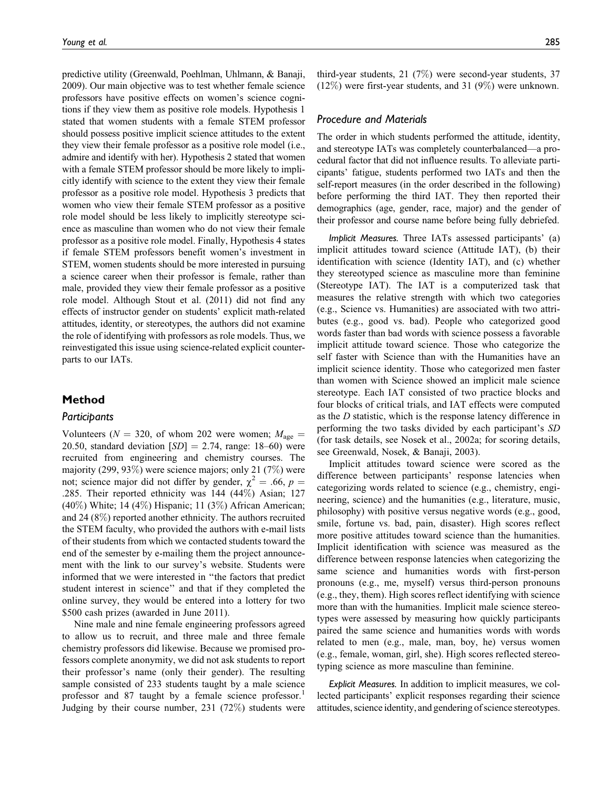predictive utility (Greenwald, Poehlman, Uhlmann, & Banaji, 2009). Our main objective was to test whether female science professors have positive effects on women's science cognitions if they view them as positive role models. Hypothesis 1 stated that women students with a female STEM professor should possess positive implicit science attitudes to the extent they view their female professor as a positive role model (i.e., admire and identify with her). Hypothesis 2 stated that women with a female STEM professor should be more likely to implicitly identify with science to the extent they view their female professor as a positive role model. Hypothesis 3 predicts that women who view their female STEM professor as a positive role model should be less likely to implicitly stereotype science as masculine than women who do not view their female professor as a positive role model. Finally, Hypothesis 4 states if female STEM professors benefit women's investment in STEM, women students should be more interested in pursuing a science career when their professor is female, rather than male, provided they view their female professor as a positive role model. Although Stout et al. (2011) did not find any effects of instructor gender on students' explicit math-related attitudes, identity, or stereotypes, the authors did not examine the role of identifying with professors as role models. Thus, we reinvestigated this issue using science-related explicit counterparts to our IATs.

# Method

#### Participants

Volunteers ( $N = 320$ , of whom 202 were women;  $M_{\text{age}} =$ 20.50, standard deviation  $[SD] = 2.74$ , range: 18–60) were recruited from engineering and chemistry courses. The majority (299, 93%) were science majors; only 21 (7%) were not; science major did not differ by gender,  $\chi^2 = .66$ ,  $p =$ .285. Their reported ethnicity was 144 (44%) Asian; 127  $(40\%)$  White; 14 (4%) Hispanic; 11 (3%) African American; and 24 (8%) reported another ethnicity. The authors recruited the STEM faculty, who provided the authors with e-mail lists of their students from which we contacted students toward the end of the semester by e-mailing them the project announcement with the link to our survey's website. Students were informed that we were interested in ''the factors that predict student interest in science'' and that if they completed the online survey, they would be entered into a lottery for two \$500 cash prizes (awarded in June 2011).

Nine male and nine female engineering professors agreed to allow us to recruit, and three male and three female chemistry professors did likewise. Because we promised professors complete anonymity, we did not ask students to report their professor's name (only their gender). The resulting sample consisted of 233 students taught by a male science professor and 87 taught by a female science professor.<sup>1</sup> Judging by their course number, 231 (72%) students were

third-year students, 21 (7%) were second-year students, 37 (12%) were first-year students, and 31 (9%) were unknown.

# Procedure and Materials

The order in which students performed the attitude, identity, and stereotype IATs was completely counterbalanced—a procedural factor that did not influence results. To alleviate participants' fatigue, students performed two IATs and then the self-report measures (in the order described in the following) before performing the third IAT. They then reported their demographics (age, gender, race, major) and the gender of their professor and course name before being fully debriefed.

Implicit Measures. Three IATs assessed participants' (a) implicit attitudes toward science (Attitude IAT), (b) their identification with science (Identity IAT), and (c) whether they stereotyped science as masculine more than feminine (Stereotype IAT). The IAT is a computerized task that measures the relative strength with which two categories (e.g., Science vs. Humanities) are associated with two attributes (e.g., good vs. bad). People who categorized good words faster than bad words with science possess a favorable implicit attitude toward science. Those who categorize the self faster with Science than with the Humanities have an implicit science identity. Those who categorized men faster than women with Science showed an implicit male science stereotype. Each IAT consisted of two practice blocks and four blocks of critical trials, and IAT effects were computed as the D statistic, which is the response latency difference in performing the two tasks divided by each participant's SD (for task details, see Nosek et al., 2002a; for scoring details, see Greenwald, Nosek, & Banaji, 2003).

Implicit attitudes toward science were scored as the difference between participants' response latencies when categorizing words related to science (e.g., chemistry, engineering, science) and the humanities (e.g., literature, music, philosophy) with positive versus negative words (e.g., good, smile, fortune vs. bad, pain, disaster). High scores reflect more positive attitudes toward science than the humanities. Implicit identification with science was measured as the difference between response latencies when categorizing the same science and humanities words with first-person pronouns (e.g., me, myself) versus third-person pronouns (e.g., they, them). High scores reflect identifying with science more than with the humanities. Implicit male science stereotypes were assessed by measuring how quickly participants paired the same science and humanities words with words related to men (e.g., male, man, boy, he) versus women (e.g., female, woman, girl, she). High scores reflected stereotyping science as more masculine than feminine.

Explicit Measures. In addition to implicit measures, we collected participants' explicit responses regarding their science attitudes, science identity, and gendering of science stereotypes.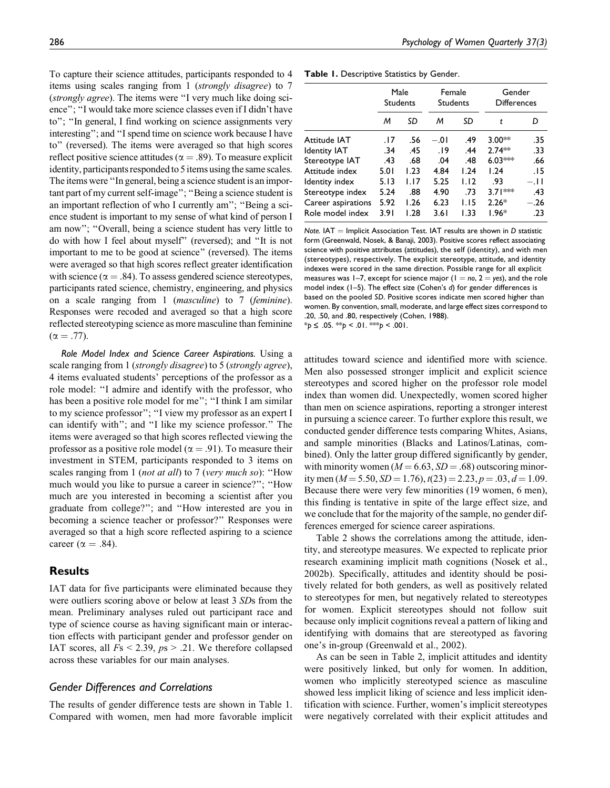To capture their science attitudes, participants responded to 4 items using scales ranging from 1 (strongly disagree) to 7 (strongly agree). The items were ''I very much like doing science''; ''I would take more science classes even if I didn't have to''; ''In general, I find working on science assignments very interesting''; and ''I spend time on science work because I have to'' (reversed). The items were averaged so that high scores reflect positive science attitudes ( $\alpha = .89$ ). To measure explicit identity, participants responded to 5 items using the same scales. The items were ''In general, being a science student is an important part of my current self-image''; ''Being a science student is an important reflection of who I currently am''; ''Being a science student is important to my sense of what kind of person I am now''; ''Overall, being a science student has very little to do with how I feel about myself'' (reversed); and ''It is not important to me to be good at science'' (reversed). The items were averaged so that high scores reflect greater identification with science ( $\alpha = .84$ ). To assess gendered science stereotypes, participants rated science, chemistry, engineering, and physics on a scale ranging from 1 (masculine) to 7 (feminine). Responses were recoded and averaged so that a high score reflected stereotyping science as more masculine than feminine  $(\alpha = .77)$ .

Role Model Index and Science Career Aspirations. Using a scale ranging from 1 (strongly disagree) to 5 (strongly agree), 4 items evaluated students' perceptions of the professor as a role model: ''I admire and identify with the professor, who has been a positive role model for me"; "I think I am similar to my science professor''; ''I view my professor as an expert I can identify with''; and ''I like my science professor.'' The items were averaged so that high scores reflected viewing the professor as a positive role model ( $\alpha = .91$ ). To measure their investment in STEM, participants responded to 3 items on scales ranging from 1 (*not at all*) to 7 (*very much so*): "How much would you like to pursue a career in science?''; ''How much are you interested in becoming a scientist after you graduate from college?''; and ''How interested are you in becoming a science teacher or professor?'' Responses were averaged so that a high score reflected aspiring to a science career ( $\alpha = .84$ ).

# Results

IAT data for five participants were eliminated because they were outliers scoring above or below at least 3 SDs from the mean. Preliminary analyses ruled out participant race and type of science course as having significant main or interaction effects with participant gender and professor gender on IAT scores, all  $Fs < 2.39$ ,  $ps > .21$ . We therefore collapsed across these variables for our main analyses.

# Gender Differences and Correlations

The results of gender difference tests are shown in Table 1. Compared with women, men had more favorable implicit

Table 1. Descriptive Statistics by Gender.

|                     | Male<br>Students |      | Female<br><b>Students</b> |      | Gender<br><b>Differences</b> |        |
|---------------------|------------------|------|---------------------------|------|------------------------------|--------|
|                     | м                | SD   | M                         | SD   | t                            | D      |
| Attitude IAT        | .17              | .56  | $-.01$                    | .49  | $3.00**$                     | .35    |
| <b>Identity IAT</b> | .34              | .45  | . 19                      | .44  | $2.74**$                     | .33    |
| Stereotype IAT      | .43              | .68  | .04                       | .48  | $6.03***$                    | .66    |
| Attitude index      | 5.01             | 1.23 | 4.84                      | 1.24 | 1.24                         | . I 5  |
| Identity index      | 5.13             | 1.17 | 5.25                      | 1.12 | .93                          | $-.11$ |
| Stereotype index    | 5.24             | .88  | 4.90                      | .73  | $3.71***$                    | .43    |
| Career aspirations  | 5.92             | 1.26 | 6.23                      | 1.15 | $2.26*$                      | $-.26$ |
| Role model index    | 3.91             | 1.28 | 3.61                      | 1.33 | $1.96*$                      | .23    |

Note. IAT  $=$  Implicit Association Test. IAT results are shown in D statistic form (Greenwald, Nosek, & Banaji, 2003). Positive scores reflect associating science with positive attributes (attitudes), the self (identity), and with men (stereotypes), respectively. The explicit stereotype, attitude, and identity indexes were scored in the same direction. Possible range for all explicit measures was 1–7, except for science major (1 = no, 2 = yes), and the role model index (1–5). The effect size (Cohen's d) for gender differences is based on the pooled SD. Positive scores indicate men scored higher than women. By convention, small, moderate, and large effect sizes correspond to .20, .50, and .80, respectively (Cohen, 1988). \*p ≤ .05. \*\*p < .01. \*\*\*p < .001.

attitudes toward science and identified more with science. Men also possessed stronger implicit and explicit science stereotypes and scored higher on the professor role model index than women did. Unexpectedly, women scored higher than men on science aspirations, reporting a stronger interest in pursuing a science career. To further explore this result, we conducted gender difference tests comparing Whites, Asians, and sample minorities (Blacks and Latinos/Latinas, combined). Only the latter group differed significantly by gender, with minority women ( $M = 6.63$ ,  $SD = .68$ ) outscoring minority men ( $M = 5.50$ ,  $SD = 1.76$ ),  $t(23) = 2.23$ ,  $p = .03$ ,  $d = 1.09$ . Because there were very few minorities (19 women, 6 men), this finding is tentative in spite of the large effect size, and we conclude that for the majority of the sample, no gender differences emerged for science career aspirations.

Table 2 shows the correlations among the attitude, identity, and stereotype measures. We expected to replicate prior research examining implicit math cognitions (Nosek et al., 2002b). Specifically, attitudes and identity should be positively related for both genders, as well as positively related to stereotypes for men, but negatively related to stereotypes for women. Explicit stereotypes should not follow suit because only implicit cognitions reveal a pattern of liking and identifying with domains that are stereotyped as favoring one's in-group (Greenwald et al., 2002).

As can be seen in Table 2, implicit attitudes and identity were positively linked, but only for women. In addition, women who implicitly stereotyped science as masculine showed less implicit liking of science and less implicit identification with science. Further, women's implicit stereotypes were negatively correlated with their explicit attitudes and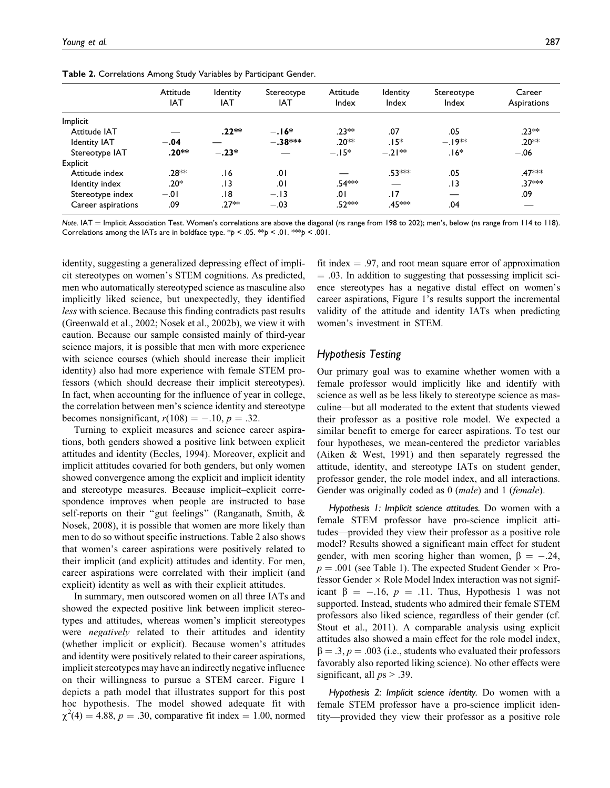|                     | Attitude<br><b>IAT</b> | <b>Identity</b><br>IAT | Stereotype<br>IAT | Attitude<br>Index  | <b>Identity</b><br>Index | Stereotype<br>Index | Career<br>Aspirations |
|---------------------|------------------------|------------------------|-------------------|--------------------|--------------------------|---------------------|-----------------------|
| Implicit            |                        |                        |                   |                    |                          |                     |                       |
| Attitude IAT        |                        | $.22**$                | $-.16*$           | .23**              | .07                      | .05                 | $.23**$               |
| <b>Identity IAT</b> | $-.04$                 |                        | $-.38***$         | .20**              | $.15*$                   | $-.19**$            | .20**                 |
| Stereotype IAT      | $.20**$                | $-.23*$                |                   | $-.15*$            | $-.21**$                 | $.16*$              | $-.06$                |
| Explicit            |                        |                        |                   |                    |                          |                     |                       |
| Attitude index      | .28 **                 | 16.                    | .01               |                    | .53 ***                  | .05                 | .47***                |
| Identity index      | $.20*$                 | .13                    | .01               | .54 <sup>***</sup> | —                        | . 13                | .37***                |
| Stereotype index    | $-.01$                 | 18.                    | $-.13$            | 0١.                | .17                      |                     | .09                   |
| Career aspirations  | .09                    | $.27**$                | $-.03$            | .52***             | .45***                   | .04                 |                       |

Table 2. Correlations Among Study Variables by Participant Gender.

Note. IAT = Implicit Association Test. Women's correlations are above the diagonal (ns range from 198 to 202); men's, below (ns range from 114 to 118). Correlations among the IATs are in boldface type. \*p < .05. \*\*p < .01. \*\*p < .001.

identity, suggesting a generalized depressing effect of implicit stereotypes on women's STEM cognitions. As predicted, men who automatically stereotyped science as masculine also implicitly liked science, but unexpectedly, they identified less with science. Because this finding contradicts past results (Greenwald et al., 2002; Nosek et al., 2002b), we view it with caution. Because our sample consisted mainly of third-year science majors, it is possible that men with more experience with science courses (which should increase their implicit identity) also had more experience with female STEM professors (which should decrease their implicit stereotypes). In fact, when accounting for the influence of year in college, the correlation between men's science identity and stereotype becomes nonsignificant,  $r(108) = -.10$ ,  $p = .32$ .

Turning to explicit measures and science career aspirations, both genders showed a positive link between explicit attitudes and identity (Eccles, 1994). Moreover, explicit and implicit attitudes covaried for both genders, but only women showed convergence among the explicit and implicit identity and stereotype measures. Because implicit–explicit correspondence improves when people are instructed to base self-reports on their "gut feelings" (Ranganath, Smith, & Nosek, 2008), it is possible that women are more likely than men to do so without specific instructions. Table 2 also shows that women's career aspirations were positively related to their implicit (and explicit) attitudes and identity. For men, career aspirations were correlated with their implicit (and explicit) identity as well as with their explicit attitudes.

In summary, men outscored women on all three IATs and showed the expected positive link between implicit stereotypes and attitudes, whereas women's implicit stereotypes were *negatively* related to their attitudes and identity (whether implicit or explicit). Because women's attitudes and identity were positively related to their career aspirations, implicit stereotypes may have an indirectly negative influence on their willingness to pursue a STEM career. Figure 1 depicts a path model that illustrates support for this post hoc hypothesis. The model showed adequate fit with  $\chi^2(4) = 4.88, p = .30$ , comparative fit index = 1.00, normed

fit index  $= .97$ , and root mean square error of approximation  $= .03$ . In addition to suggesting that possessing implicit science stereotypes has a negative distal effect on women's career aspirations, Figure 1's results support the incremental validity of the attitude and identity IATs when predicting women's investment in STEM.

### Hypothesis Testing

Our primary goal was to examine whether women with a female professor would implicitly like and identify with science as well as be less likely to stereotype science as masculine—but all moderated to the extent that students viewed their professor as a positive role model. We expected a similar benefit to emerge for career aspirations. To test our four hypotheses, we mean-centered the predictor variables (Aiken & West, 1991) and then separately regressed the attitude, identity, and stereotype IATs on student gender, professor gender, the role model index, and all interactions. Gender was originally coded as 0 (*male*) and 1 (*female*).

Hypothesis 1: Implicit science attitudes. Do women with a female STEM professor have pro-science implicit attitudes—provided they view their professor as a positive role model? Results showed a significant main effect for student gender, with men scoring higher than women,  $\beta = -.24$ ,  $p = .001$  (see Table 1). The expected Student Gender  $\times$  Professor Gender  $\times$  Role Model Index interaction was not significant  $\beta = -.16$ ,  $p = .11$ . Thus, Hypothesis 1 was not supported. Instead, students who admired their female STEM professors also liked science, regardless of their gender (cf. Stout et al., 2011). A comparable analysis using explicit attitudes also showed a main effect for the role model index,  $\beta = .3, p = .003$  (i.e., students who evaluated their professors favorably also reported liking science). No other effects were significant, all  $ps > .39$ .

Hypothesis 2: Implicit science identity. Do women with a female STEM professor have a pro-science implicit identity—provided they view their professor as a positive role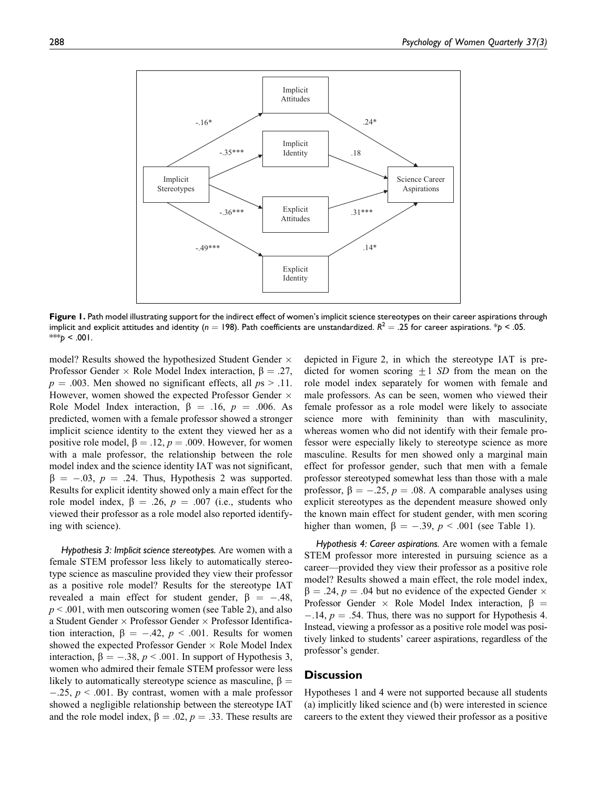

Figure 1. Path model illustrating support for the indirect effect of women's implicit science stereotypes on their career aspirations through implicit and explicit attitudes and identity ( $n = 198$ ). Path coefficients are unstandardized.  $R^2 = .25$  for career aspirations. \*p < .05.  $**p$  < .001.

model? Results showed the hypothesized Student Gender  $\times$ Professor Gender  $\times$  Role Model Index interaction,  $\beta = .27$ ,  $p = .003$ . Men showed no significant effects, all  $ps > .11$ . However, women showed the expected Professor Gender  $\times$ Role Model Index interaction,  $\beta = .16$ ,  $p = .006$ . As predicted, women with a female professor showed a stronger implicit science identity to the extent they viewed her as a positive role model,  $\beta = .12$ ,  $p = .009$ . However, for women with a male professor, the relationship between the role model index and the science identity IAT was not significant,  $\beta = -0.03$ ,  $p = 0.24$ . Thus, Hypothesis 2 was supported. Results for explicit identity showed only a main effect for the role model index,  $\beta = .26$ ,  $p = .007$  (i.e., students who viewed their professor as a role model also reported identifying with science).

Hypothesis 3: Implicit science stereotypes. Are women with a female STEM professor less likely to automatically stereotype science as masculine provided they view their professor as a positive role model? Results for the stereotype IAT revealed a main effect for student gender,  $\beta = -.48$ ,  $p < .001$ , with men outscoring women (see Table 2), and also a Student Gender  $\times$  Professor Gender  $\times$  Professor Identification interaction,  $\beta = -.42, p < .001$ . Results for women showed the expected Professor Gender  $\times$  Role Model Index interaction,  $\beta = -.38, p < .001$ . In support of Hypothesis 3, women who admired their female STEM professor were less likely to automatically stereotype science as masculine,  $\beta =$  $-.25, p \leq .001$ . By contrast, women with a male professor showed a negligible relationship between the stereotype IAT and the role model index,  $\beta = .02$ ,  $p = .33$ . These results are

depicted in Figure 2, in which the stereotype IAT is predicted for women scoring  $\pm 1$  SD from the mean on the role model index separately for women with female and male professors. As can be seen, women who viewed their female professor as a role model were likely to associate science more with femininity than with masculinity, whereas women who did not identify with their female professor were especially likely to stereotype science as more masculine. Results for men showed only a marginal main effect for professor gender, such that men with a female professor stereotyped somewhat less than those with a male professor,  $\beta = -.25$ ,  $p = .08$ . A comparable analyses using explicit stereotypes as the dependent measure showed only the known main effect for student gender, with men scoring higher than women,  $\beta = -.39$ ,  $p < .001$  (see Table 1).

Hypothesis 4: Career aspirations. Are women with a female STEM professor more interested in pursuing science as a career—provided they view their professor as a positive role model? Results showed a main effect, the role model index,  $\beta = .24$ ,  $p = .04$  but no evidence of the expected Gender  $\times$ Professor Gender  $\times$  Role Model Index interaction,  $\beta =$  $-14$ ,  $p = 0.54$ . Thus, there was no support for Hypothesis 4. Instead, viewing a professor as a positive role model was positively linked to students' career aspirations, regardless of the professor's gender.

# **Discussion**

Hypotheses 1 and 4 were not supported because all students (a) implicitly liked science and (b) were interested in science careers to the extent they viewed their professor as a positive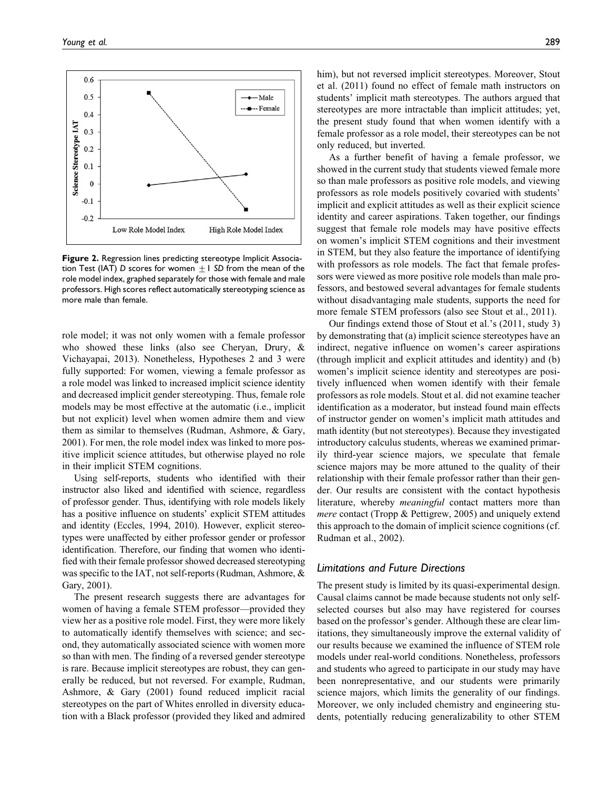

Figure 2. Regression lines predicting stereotype Implicit Association Test (IAT) D scores for women  $\pm 1$  SD from the mean of the role model index, graphed separately for those with female and male professors. High scores reflect automatically stereotyping science as more male than female.

role model; it was not only women with a female professor who showed these links (also see Cheryan, Drury, & Vichayapai, 2013). Nonetheless, Hypotheses 2 and 3 were fully supported: For women, viewing a female professor as a role model was linked to increased implicit science identity and decreased implicit gender stereotyping. Thus, female role models may be most effective at the automatic (i.e., implicit but not explicit) level when women admire them and view them as similar to themselves (Rudman, Ashmore, & Gary, 2001). For men, the role model index was linked to more positive implicit science attitudes, but otherwise played no role in their implicit STEM cognitions.

Using self-reports, students who identified with their instructor also liked and identified with science, regardless of professor gender. Thus, identifying with role models likely has a positive influence on students' explicit STEM attitudes and identity (Eccles, 1994, 2010). However, explicit stereotypes were unaffected by either professor gender or professor identification. Therefore, our finding that women who identified with their female professor showed decreased stereotyping was specific to the IAT, not self-reports (Rudman, Ashmore, & Gary, 2001).

The present research suggests there are advantages for women of having a female STEM professor—provided they view her as a positive role model. First, they were more likely to automatically identify themselves with science; and second, they automatically associated science with women more so than with men. The finding of a reversed gender stereotype is rare. Because implicit stereotypes are robust, they can generally be reduced, but not reversed. For example, Rudman, Ashmore, & Gary (2001) found reduced implicit racial stereotypes on the part of Whites enrolled in diversity education with a Black professor (provided they liked and admired him), but not reversed implicit stereotypes. Moreover, Stout et al. (2011) found no effect of female math instructors on students' implicit math stereotypes. The authors argued that stereotypes are more intractable than implicit attitudes; yet, the present study found that when women identify with a female professor as a role model, their stereotypes can be not only reduced, but inverted.

As a further benefit of having a female professor, we showed in the current study that students viewed female more so than male professors as positive role models, and viewing professors as role models positively covaried with students' implicit and explicit attitudes as well as their explicit science identity and career aspirations. Taken together, our findings suggest that female role models may have positive effects on women's implicit STEM cognitions and their investment in STEM, but they also feature the importance of identifying with professors as role models. The fact that female professors were viewed as more positive role models than male professors, and bestowed several advantages for female students without disadvantaging male students, supports the need for more female STEM professors (also see Stout et al., 2011).

Our findings extend those of Stout et al.'s (2011, study 3) by demonstrating that (a) implicit science stereotypes have an indirect, negative influence on women's career aspirations (through implicit and explicit attitudes and identity) and (b) women's implicit science identity and stereotypes are positively influenced when women identify with their female professors as role models. Stout et al. did not examine teacher identification as a moderator, but instead found main effects of instructor gender on women's implicit math attitudes and math identity (but not stereotypes). Because they investigated introductory calculus students, whereas we examined primarily third-year science majors, we speculate that female science majors may be more attuned to the quality of their relationship with their female professor rather than their gender. Our results are consistent with the contact hypothesis literature, whereby meaningful contact matters more than mere contact (Tropp & Pettigrew, 2005) and uniquely extend this approach to the domain of implicit science cognitions (cf. Rudman et al., 2002).

# Limitations and Future Directions

The present study is limited by its quasi-experimental design. Causal claims cannot be made because students not only selfselected courses but also may have registered for courses based on the professor's gender. Although these are clear limitations, they simultaneously improve the external validity of our results because we examined the influence of STEM role models under real-world conditions. Nonetheless, professors and students who agreed to participate in our study may have been nonrepresentative, and our students were primarily science majors, which limits the generality of our findings. Moreover, we only included chemistry and engineering students, potentially reducing generalizability to other STEM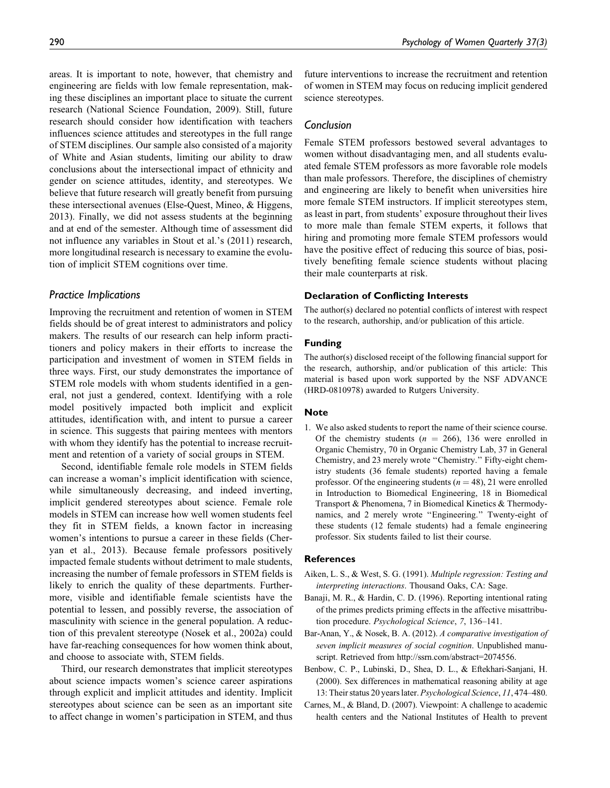areas. It is important to note, however, that chemistry and engineering are fields with low female representation, making these disciplines an important place to situate the current research (National Science Foundation, 2009). Still, future research should consider how identification with teachers influences science attitudes and stereotypes in the full range of STEM disciplines. Our sample also consisted of a majority of White and Asian students, limiting our ability to draw conclusions about the intersectional impact of ethnicity and gender on science attitudes, identity, and stereotypes. We believe that future research will greatly benefit from pursuing these intersectional avenues (Else-Quest, Mineo, & Higgens, 2013). Finally, we did not assess students at the beginning and at end of the semester. Although time of assessment did not influence any variables in Stout et al.'s (2011) research, more longitudinal research is necessary to examine the evolution of implicit STEM cognitions over time.

# Practice Implications

Improving the recruitment and retention of women in STEM fields should be of great interest to administrators and policy makers. The results of our research can help inform practitioners and policy makers in their efforts to increase the participation and investment of women in STEM fields in three ways. First, our study demonstrates the importance of STEM role models with whom students identified in a general, not just a gendered, context. Identifying with a role model positively impacted both implicit and explicit attitudes, identification with, and intent to pursue a career in science. This suggests that pairing mentees with mentors with whom they identify has the potential to increase recruitment and retention of a variety of social groups in STEM.

Second, identifiable female role models in STEM fields can increase a woman's implicit identification with science, while simultaneously decreasing, and indeed inverting, implicit gendered stereotypes about science. Female role models in STEM can increase how well women students feel they fit in STEM fields, a known factor in increasing women's intentions to pursue a career in these fields (Cheryan et al., 2013). Because female professors positively impacted female students without detriment to male students, increasing the number of female professors in STEM fields is likely to enrich the quality of these departments. Furthermore, visible and identifiable female scientists have the potential to lessen, and possibly reverse, the association of masculinity with science in the general population. A reduction of this prevalent stereotype (Nosek et al., 2002a) could have far-reaching consequences for how women think about, and choose to associate with, STEM fields.

Third, our research demonstrates that implicit stereotypes about science impacts women's science career aspirations through explicit and implicit attitudes and identity. Implicit stereotypes about science can be seen as an important site to affect change in women's participation in STEM, and thus

future interventions to increase the recruitment and retention of women in STEM may focus on reducing implicit gendered science stereotypes.

#### Conclusion

Female STEM professors bestowed several advantages to women without disadvantaging men, and all students evaluated female STEM professors as more favorable role models than male professors. Therefore, the disciplines of chemistry and engineering are likely to benefit when universities hire more female STEM instructors. If implicit stereotypes stem, as least in part, from students' exposure throughout their lives to more male than female STEM experts, it follows that hiring and promoting more female STEM professors would have the positive effect of reducing this source of bias, positively benefiting female science students without placing their male counterparts at risk.

#### Declaration of Conflicting Interests

The author(s) declared no potential conflicts of interest with respect to the research, authorship, and/or publication of this article.

# Funding

The author(s) disclosed receipt of the following financial support for the research, authorship, and/or publication of this article: This material is based upon work supported by the NSF ADVANCE (HRD-0810978) awarded to Rutgers University.

#### Note

1. We also asked students to report the name of their science course. Of the chemistry students ( $n = 266$ ), 136 were enrolled in Organic Chemistry, 70 in Organic Chemistry Lab, 37 in General Chemistry, and 23 merely wrote ''Chemistry.'' Fifty-eight chemistry students (36 female students) reported having a female professor. Of the engineering students ( $n = 48$ ), 21 were enrolled in Introduction to Biomedical Engineering, 18 in Biomedical Transport & Phenomena, 7 in Biomedical Kinetics & Thermodynamics, and 2 merely wrote ''Engineering.'' Twenty-eight of these students (12 female students) had a female engineering professor. Six students failed to list their course.

#### References

- Aiken, L. S., & West, S. G. (1991). Multiple regression: Testing and interpreting interactions. Thousand Oaks, CA: Sage.
- Banaji, M. R., & Hardin, C. D. (1996). Reporting intentional rating of the primes predicts priming effects in the affective misattribution procedure. Psychological Science, 7, 136–141.
- Bar-Anan, Y., & Nosek, B. A. (2012). A comparative investigation of seven implicit measures of social cognition. Unpublished manuscript. Retrieved from http://ssrn.com/abstract=2074556.

Benbow, C. P., Lubinski, D., Shea, D. L., & Eftekhari-Sanjani, H. (2000). Sex differences in mathematical reasoning ability at age 13: Their status 20 years later.Psychological Science, 11, 474–480.

Carnes, M., & Bland, D. (2007). Viewpoint: A challenge to academic health centers and the National Institutes of Health to prevent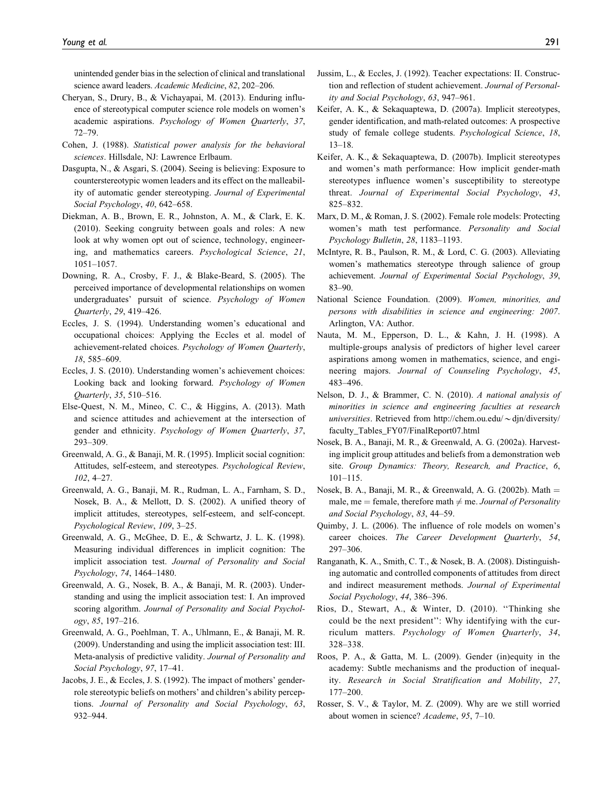unintended gender bias in the selection of clinical and translational science award leaders. Academic Medicine, 82, 202–206.

- Cheryan, S., Drury, B., & Vichayapai, M. (2013). Enduring influence of stereotypical computer science role models on women's academic aspirations. Psychology of Women Quarterly, 37, 72–79.
- Cohen, J. (1988). Statistical power analysis for the behavioral sciences. Hillsdale, NJ: Lawrence Erlbaum.
- Dasgupta, N., & Asgari, S. (2004). Seeing is believing: Exposure to counterstereotypic women leaders and its effect on the malleability of automatic gender stereotyping. Journal of Experimental Social Psychology, 40, 642–658.
- Diekman, A. B., Brown, E. R., Johnston, A. M., & Clark, E. K. (2010). Seeking congruity between goals and roles: A new look at why women opt out of science, technology, engineering, and mathematics careers. Psychological Science, 21, 1051–1057.
- Downing, R. A., Crosby, F. J., & Blake-Beard, S. (2005). The perceived importance of developmental relationships on women undergraduates' pursuit of science. Psychology of Women Quarterly, 29, 419–426.
- Eccles, J. S. (1994). Understanding women's educational and occupational choices: Applying the Eccles et al. model of achievement-related choices. Psychology of Women Quarterly, 18, 585–609.
- Eccles, J. S. (2010). Understanding women's achievement choices: Looking back and looking forward. Psychology of Women Quarterly, 35, 510–516.
- Else-Quest, N. M., Mineo, C. C., & Higgins, A. (2013). Math and science attitudes and achievement at the intersection of gender and ethnicity. Psychology of Women Quarterly, 37, 293–309.
- Greenwald, A. G., & Banaji, M. R. (1995). Implicit social cognition: Attitudes, self-esteem, and stereotypes. Psychological Review, 102, 4–27.
- Greenwald, A. G., Banaji, M. R., Rudman, L. A., Farnham, S. D., Nosek, B. A., & Mellott, D. S. (2002). A unified theory of implicit attitudes, stereotypes, self-esteem, and self-concept. Psychological Review, 109, 3–25.
- Greenwald, A. G., McGhee, D. E., & Schwartz, J. L. K. (1998). Measuring individual differences in implicit cognition: The implicit association test. Journal of Personality and Social Psychology, 74, 1464–1480.
- Greenwald, A. G., Nosek, B. A., & Banaji, M. R. (2003). Understanding and using the implicit association test: I. An improved scoring algorithm. Journal of Personality and Social Psychology, 85, 197–216.
- Greenwald, A. G., Poehlman, T. A., Uhlmann, E., & Banaji, M. R. (2009). Understanding and using the implicit association test: III. Meta-analysis of predictive validity. Journal of Personality and Social Psychology, 97, 17–41.
- Jacobs, J. E., & Eccles, J. S. (1992). The impact of mothers' genderrole stereotypic beliefs on mothers' and children's ability perceptions. Journal of Personality and Social Psychology, 63, 932–944.
- Jussim, L., & Eccles, J. (1992). Teacher expectations: II. Construction and reflection of student achievement. Journal of Personality and Social Psychology, 63, 947–961.
- Keifer, A. K., & Sekaquaptewa, D. (2007a). Implicit stereotypes, gender identification, and math-related outcomes: A prospective study of female college students. Psychological Science, 18, 13–18.
- Keifer, A. K., & Sekaquaptewa, D. (2007b). Implicit stereotypes and women's math performance: How implicit gender-math stereotypes influence women's susceptibility to stereotype threat. Journal of Experimental Social Psychology, 43, 825–832.
- Marx, D. M., & Roman, J. S. (2002). Female role models: Protecting women's math test performance. Personality and Social Psychology Bulletin, 28, 1183–1193.
- McIntyre, R. B., Paulson, R. M., & Lord, C. G. (2003). Alleviating women's mathematics stereotype through salience of group achievement. Journal of Experimental Social Psychology, 39, 83–90.
- National Science Foundation. (2009). Women, minorities, and persons with disabilities in science and engineering: 2007. Arlington, VA: Author.
- Nauta, M. M., Epperson, D. L., & Kahn, J. H. (1998). A multiple-groups analysis of predictors of higher level career aspirations among women in mathematics, science, and engineering majors. Journal of Counseling Psychology, 45, 483–496.
- Nelson, D. J., & Brammer, C. N. (2010). A national analysis of minorities in science and engineering faculties at research universities. Retrieved from [http://chem.ou.edu/](http://chem.ou.edu/~djn/diversity/faculty_Tables_FY07/FinalReport07.html) $\sim$ [djn/diversity/](http://chem.ou.edu/~djn/diversity/faculty_Tables_FY07/FinalReport07.html) [faculty\\_Tables\\_FY07/FinalReport07.html](http://chem.ou.edu/~djn/diversity/faculty_Tables_FY07/FinalReport07.html)
- Nosek, B. A., Banaji, M. R., & Greenwald, A. G. (2002a). Harvesting implicit group attitudes and beliefs from a demonstration web site. Group Dynamics: Theory, Research, and Practice, 6, 101–115.
- Nosek, B. A., Banaji, M. R., & Greenwald, A. G. (2002b). Math  $=$ male, me = female, therefore math  $\neq$  me. Journal of Personality and Social Psychology, 83, 44–59.
- Quimby, J. L. (2006). The influence of role models on women's career choices. The Career Development Quarterly, 54, 297–306.
- Ranganath, K. A., Smith, C. T., & Nosek, B. A. (2008). Distinguishing automatic and controlled components of attitudes from direct and indirect measurement methods. Journal of Experimental Social Psychology, 44, 386–396.
- Rios, D., Stewart, A., & Winter, D. (2010). ''Thinking she could be the next president'': Why identifying with the curriculum matters. Psychology of Women Quarterly, 34, 328–338.
- Roos, P. A., & Gatta, M. L. (2009). Gender (in)equity in the academy: Subtle mechanisms and the production of inequality. Research in Social Stratification and Mobility, 27, 177–200.
- Rosser, S. V., & Taylor, M. Z. (2009). Why are we still worried about women in science? Academe, 95, 7–10.